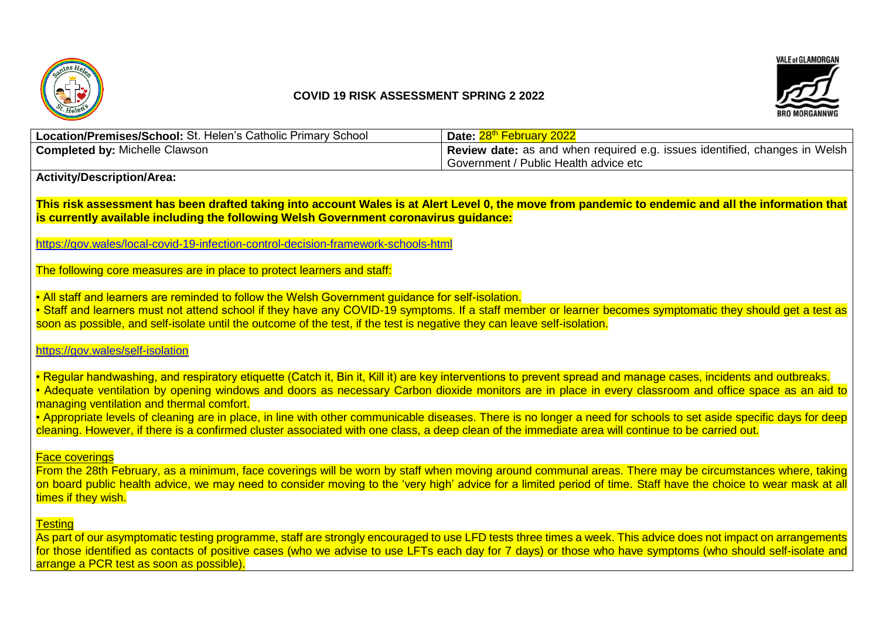

# **COVID 19 RISK ASSESSMENT SPRING 2 2022**



| <b>Location/Premises/School: St. Helen's Catholic Primary School</b> | Date: 28 <sup>th</sup> February 2022                                       |
|----------------------------------------------------------------------|----------------------------------------------------------------------------|
| <b>Completed by: Michelle Clawson</b>                                | Review date: as and when required e.g. issues identified, changes in Welsh |
|                                                                      | Government / Public Health advice etc                                      |

# **Activity/Description/Area:**

**This risk assessment has been drafted taking into account Wales is at Alert Level 0, the move from pandemic to endemic and all the information that is currently available including the following Welsh Government coronavirus guidance:** 

<https://gov.wales/local-covid-19-infection-control-decision-framework-schools-html>

The following core measures are in place to protect learners and staff:

• All staff and learners are reminded to follow the Welsh Government guidance for self-isolation.

• Staff and learners must not attend school if they have any COVID-19 symptoms. If a staff member or learner becomes symptomatic they should get a test as soon as possible, and self-isolate until the outcome of the test, if the test is negative they can leave self-isolation.

### <https://gov.wales/self-isolation>

• Regular handwashing, and respiratory etiquette (Catch it, Bin it, Kill it) are key interventions to prevent spread and manage cases, incidents and outbreaks. • Adequate ventilation by opening windows and doors as necessary Carbon dioxide monitors are in place in every classroom and office space as an aid to managing ventilation and thermal comfort.

• Appropriate levels of cleaning are in place, in line with other communicable diseases. There is no longer a need for schools to set aside specific days for deep cleaning. However, if there is a confirmed cluster associated with one class, a deep clean of the immediate area will continue to be carried out.

#### Face coverings

From the 28th February, as a minimum, face coverings will be worn by staff when moving around communal areas. There may be circumstances where, taking on board public health advice, we may need to consider moving to the 'very high' advice for a limited period of time. Staff have the choice to wear mask at all times if they wish.

# **Testing**

As part of our asymptomatic testing programme, staff are strongly encouraged to use LFD tests three times a week. This advice does not impact on arrangements for those identified as contacts of positive cases (who we advise to use LFTs each day for 7 days) or those who have symptoms (who should self-isolate and arrange a PCR test as soon as possible).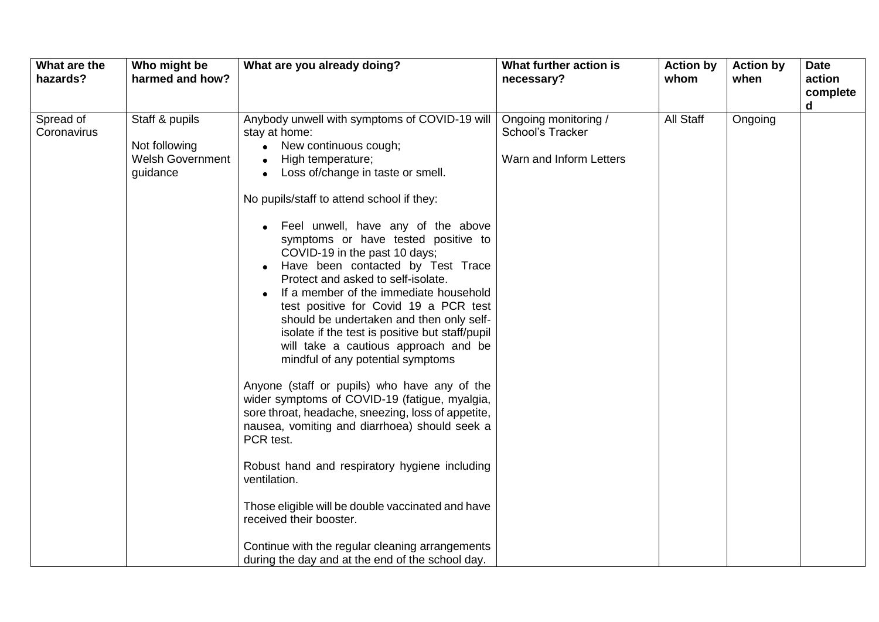| What are the<br>hazards? | Who might be<br>harmed and how?                                        | What are you already doing?                                                                                                                                                                                                                                                                                                                                                                                                                                                                                                                                                                                                                                                                                                                                                                                                                                                                                                                                                                                                    | What further action is<br>necessary?                                | <b>Action by</b><br>whom | <b>Action by</b><br>when | <b>Date</b><br>action<br>complete<br>d |
|--------------------------|------------------------------------------------------------------------|--------------------------------------------------------------------------------------------------------------------------------------------------------------------------------------------------------------------------------------------------------------------------------------------------------------------------------------------------------------------------------------------------------------------------------------------------------------------------------------------------------------------------------------------------------------------------------------------------------------------------------------------------------------------------------------------------------------------------------------------------------------------------------------------------------------------------------------------------------------------------------------------------------------------------------------------------------------------------------------------------------------------------------|---------------------------------------------------------------------|--------------------------|--------------------------|----------------------------------------|
| Spread of<br>Coronavirus | Staff & pupils<br>Not following<br><b>Welsh Government</b><br>guidance | Anybody unwell with symptoms of COVID-19 will<br>stay at home:<br>New continuous cough;<br>High temperature;<br>Loss of/change in taste or smell.<br>No pupils/staff to attend school if they:<br>• Feel unwell, have any of the above<br>symptoms or have tested positive to<br>COVID-19 in the past 10 days;<br>Have been contacted by Test Trace<br>Protect and asked to self-isolate.<br>If a member of the immediate household<br>test positive for Covid 19 a PCR test<br>should be undertaken and then only self-<br>isolate if the test is positive but staff/pupil<br>will take a cautious approach and be<br>mindful of any potential symptoms<br>Anyone (staff or pupils) who have any of the<br>wider symptoms of COVID-19 (fatigue, myalgia,<br>sore throat, headache, sneezing, loss of appetite,<br>nausea, vomiting and diarrhoea) should seek a<br>PCR test.<br>Robust hand and respiratory hygiene including<br>ventilation.<br>Those eligible will be double vaccinated and have<br>received their booster. | Ongoing monitoring /<br>School's Tracker<br>Warn and Inform Letters | All Staff                | Ongoing                  |                                        |
|                          |                                                                        | Continue with the regular cleaning arrangements<br>during the day and at the end of the school day.                                                                                                                                                                                                                                                                                                                                                                                                                                                                                                                                                                                                                                                                                                                                                                                                                                                                                                                            |                                                                     |                          |                          |                                        |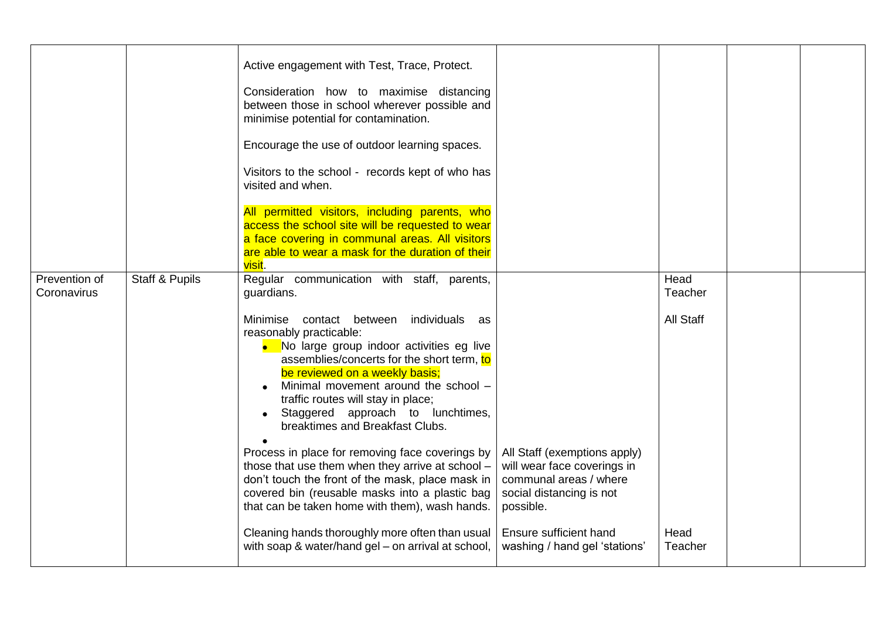|                              |                | Active engagement with Test, Trace, Protect.<br>Consideration how to maximise distancing<br>between those in school wherever possible and<br>minimise potential for contamination.<br>Encourage the use of outdoor learning spaces.<br>Visitors to the school - records kept of who has<br>visited and when.<br>All permitted visitors, including parents, who<br>access the school site will be requested to wear<br>a face covering in communal areas. All visitors<br>are able to wear a mask for the duration of their<br>visit. |                                                                 |                  |  |
|------------------------------|----------------|--------------------------------------------------------------------------------------------------------------------------------------------------------------------------------------------------------------------------------------------------------------------------------------------------------------------------------------------------------------------------------------------------------------------------------------------------------------------------------------------------------------------------------------|-----------------------------------------------------------------|------------------|--|
| Prevention of<br>Coronavirus | Staff & Pupils | Regular communication with staff, parents,<br>guardians.                                                                                                                                                                                                                                                                                                                                                                                                                                                                             |                                                                 | Head<br>Teacher  |  |
|                              |                | Minimise contact between individuals as<br>reasonably practicable:<br>• No large group indoor activities eg live<br>assemblies/concerts for the short term, to<br>be reviewed on a weekly basis;<br>Minimal movement around the school -<br>traffic routes will stay in place;<br>Staggered approach to lunchtimes,<br>breaktimes and Breakfast Clubs.<br>Process in place for removing face coverings by<br>those that use them when they arrive at school -                                                                        | All Staff (exemptions apply)<br>will wear face coverings in     | <b>All Staff</b> |  |
|                              |                | don't touch the front of the mask, place mask in<br>covered bin (reusable masks into a plastic bag<br>that can be taken home with them), wash hands.                                                                                                                                                                                                                                                                                                                                                                                 | communal areas / where<br>social distancing is not<br>possible. |                  |  |
|                              |                | Cleaning hands thoroughly more often than usual<br>with soap & water/hand gel – on arrival at school,                                                                                                                                                                                                                                                                                                                                                                                                                                | Ensure sufficient hand<br>washing / hand gel 'stations'         | Head<br>Teacher  |  |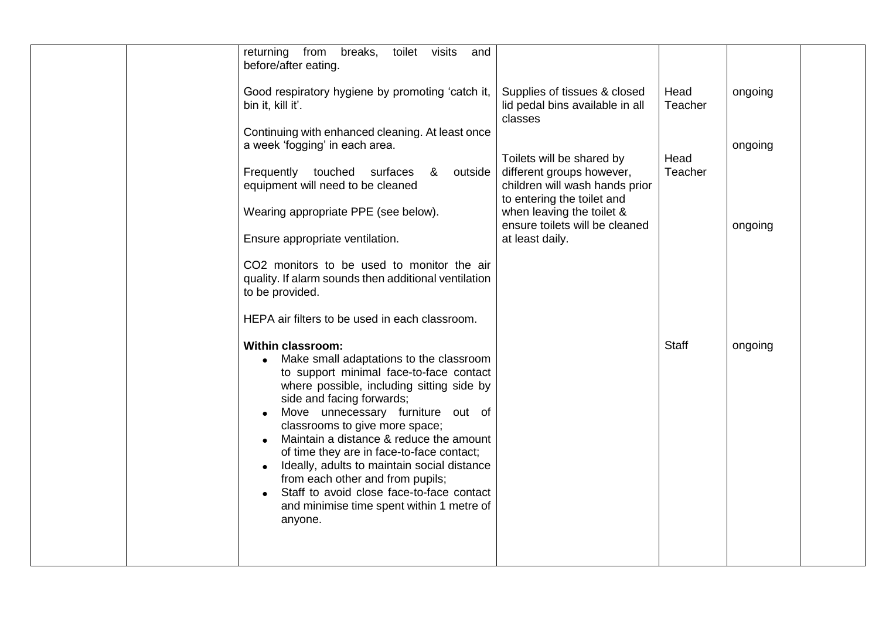| from<br>breaks,<br>toilet<br>visits<br>returning<br>and<br>before/after eating.                                                                                                                                                                                                                                                                                                                                                                                                                                                                                                        |                                                                                                                        |                 |         |
|----------------------------------------------------------------------------------------------------------------------------------------------------------------------------------------------------------------------------------------------------------------------------------------------------------------------------------------------------------------------------------------------------------------------------------------------------------------------------------------------------------------------------------------------------------------------------------------|------------------------------------------------------------------------------------------------------------------------|-----------------|---------|
| Good respiratory hygiene by promoting 'catch it,<br>bin it, kill it'.                                                                                                                                                                                                                                                                                                                                                                                                                                                                                                                  | Supplies of tissues & closed<br>lid pedal bins available in all<br>classes                                             | Head<br>Teacher | ongoing |
| Continuing with enhanced cleaning. At least once<br>a week 'fogging' in each area.                                                                                                                                                                                                                                                                                                                                                                                                                                                                                                     |                                                                                                                        |                 | ongoing |
| Frequently touched surfaces &<br>outside<br>equipment will need to be cleaned                                                                                                                                                                                                                                                                                                                                                                                                                                                                                                          | Toilets will be shared by<br>different groups however,<br>children will wash hands prior<br>to entering the toilet and | Head<br>Teacher |         |
| Wearing appropriate PPE (see below).<br>Ensure appropriate ventilation.                                                                                                                                                                                                                                                                                                                                                                                                                                                                                                                | when leaving the toilet &<br>ensure toilets will be cleaned<br>at least daily.                                         |                 | ongoing |
| CO2 monitors to be used to monitor the air<br>quality. If alarm sounds then additional ventilation<br>to be provided.                                                                                                                                                                                                                                                                                                                                                                                                                                                                  |                                                                                                                        |                 |         |
| HEPA air filters to be used in each classroom.                                                                                                                                                                                                                                                                                                                                                                                                                                                                                                                                         |                                                                                                                        |                 |         |
| <b>Within classroom:</b><br>Make small adaptations to the classroom<br>$\bullet$<br>to support minimal face-to-face contact<br>where possible, including sitting side by<br>side and facing forwards;<br>Move unnecessary furniture out of<br>classrooms to give more space;<br>Maintain a distance & reduce the amount<br>of time they are in face-to-face contact;<br>Ideally, adults to maintain social distance<br>$\bullet$<br>from each other and from pupils;<br>Staff to avoid close face-to-face contact<br>$\bullet$<br>and minimise time spent within 1 metre of<br>anyone. |                                                                                                                        | <b>Staff</b>    | ongoing |
|                                                                                                                                                                                                                                                                                                                                                                                                                                                                                                                                                                                        |                                                                                                                        |                 |         |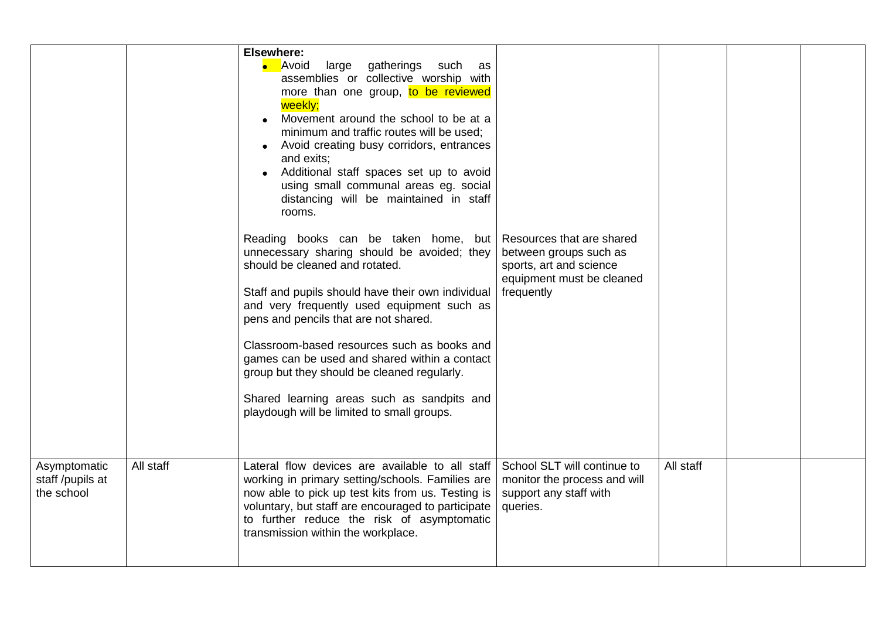|                                                |           | Elsewhere:<br>• Avoid<br>large gatherings such<br>as<br>assemblies or collective worship with<br>more than one group, to be reviewed<br>weekly;<br>Movement around the school to be at a<br>minimum and traffic routes will be used;<br>• Avoid creating busy corridors, entrances<br>and exits;<br>• Additional staff spaces set up to avoid<br>using small communal areas eg. social<br>distancing will be maintained in staff<br>rooms.<br>Reading books can be taken home, but Resources that are shared<br>unnecessary sharing should be avoided; they<br>should be cleaned and rotated.<br>Staff and pupils should have their own individual<br>and very frequently used equipment such as<br>pens and pencils that are not shared.<br>Classroom-based resources such as books and<br>games can be used and shared within a contact<br>group but they should be cleaned regularly.<br>Shared learning areas such as sandpits and<br>playdough will be limited to small groups. | between groups such as<br>sports, art and science<br>equipment must be cleaned<br>frequently      |           |  |
|------------------------------------------------|-----------|--------------------------------------------------------------------------------------------------------------------------------------------------------------------------------------------------------------------------------------------------------------------------------------------------------------------------------------------------------------------------------------------------------------------------------------------------------------------------------------------------------------------------------------------------------------------------------------------------------------------------------------------------------------------------------------------------------------------------------------------------------------------------------------------------------------------------------------------------------------------------------------------------------------------------------------------------------------------------------------|---------------------------------------------------------------------------------------------------|-----------|--|
| Asymptomatic<br>staff /pupils at<br>the school | All staff | Lateral flow devices are available to all staff<br>working in primary setting/schools. Families are<br>now able to pick up test kits from us. Testing is<br>voluntary, but staff are encouraged to participate<br>to further reduce the risk of asymptomatic<br>transmission within the workplace.                                                                                                                                                                                                                                                                                                                                                                                                                                                                                                                                                                                                                                                                                   | School SLT will continue to<br>monitor the process and will<br>support any staff with<br>queries. | All staff |  |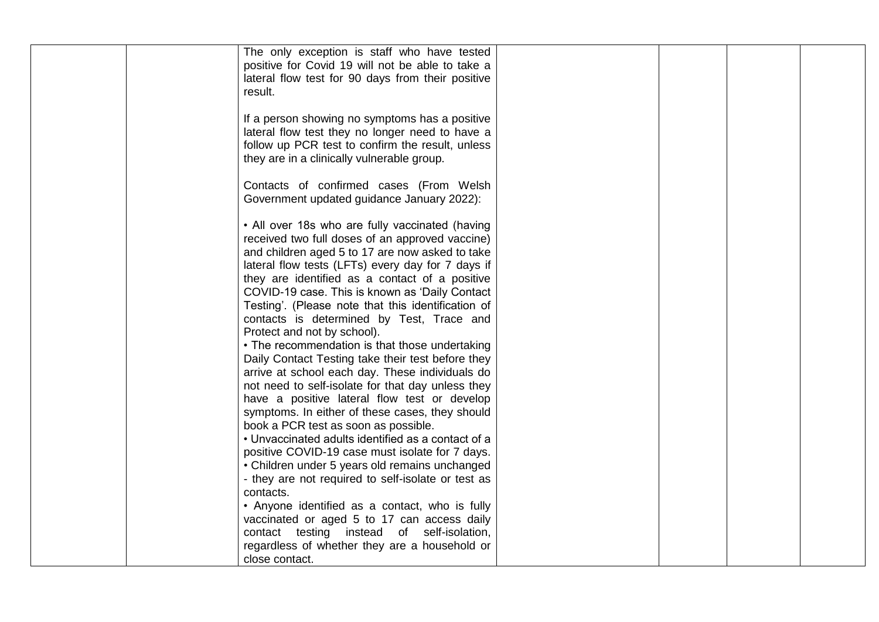| The only exception is staff who have tested        |  |  |
|----------------------------------------------------|--|--|
| positive for Covid 19 will not be able to take a   |  |  |
| lateral flow test for 90 days from their positive  |  |  |
| result.                                            |  |  |
|                                                    |  |  |
| If a person showing no symptoms has a positive     |  |  |
| lateral flow test they no longer need to have a    |  |  |
| follow up PCR test to confirm the result, unless   |  |  |
| they are in a clinically vulnerable group.         |  |  |
|                                                    |  |  |
| Contacts of confirmed cases (From Welsh            |  |  |
| Government updated guidance January 2022):         |  |  |
|                                                    |  |  |
| • All over 18s who are fully vaccinated (having    |  |  |
| received two full doses of an approved vaccine)    |  |  |
| and children aged 5 to 17 are now asked to take    |  |  |
| lateral flow tests (LFTs) every day for 7 days if  |  |  |
| they are identified as a contact of a positive     |  |  |
| COVID-19 case. This is known as 'Daily Contact     |  |  |
| Testing'. (Please note that this identification of |  |  |
| contacts is determined by Test, Trace and          |  |  |
| Protect and not by school).                        |  |  |
| • The recommendation is that those undertaking     |  |  |
| Daily Contact Testing take their test before they  |  |  |
|                                                    |  |  |
| arrive at school each day. These individuals do    |  |  |
| not need to self-isolate for that day unless they  |  |  |
| have a positive lateral flow test or develop       |  |  |
| symptoms. In either of these cases, they should    |  |  |
| book a PCR test as soon as possible.               |  |  |
| • Unvaccinated adults identified as a contact of a |  |  |
| positive COVID-19 case must isolate for 7 days.    |  |  |
| • Children under 5 years old remains unchanged     |  |  |
| - they are not required to self-isolate or test as |  |  |
| contacts.                                          |  |  |
| • Anyone identified as a contact, who is fully     |  |  |
| vaccinated or aged 5 to 17 can access daily        |  |  |
| contact testing instead of self-isolation,         |  |  |
| regardless of whether they are a household or      |  |  |
| close contact.                                     |  |  |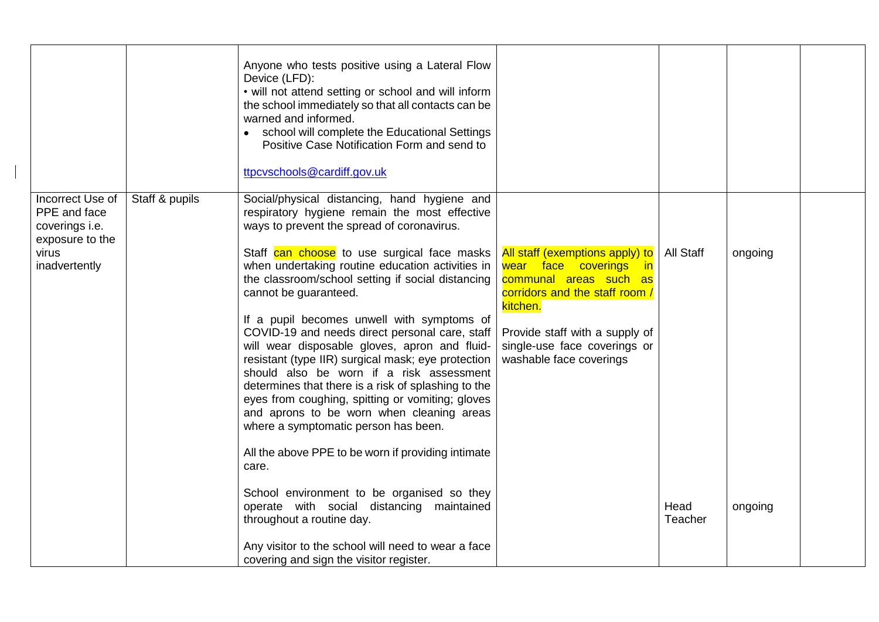|                                                    |                | Anyone who tests positive using a Lateral Flow<br>Device (LFD):<br>• will not attend setting or school and will inform<br>the school immediately so that all contacts can be<br>warned and informed.<br>• school will complete the Educational Settings<br>Positive Case Notification Form and send to<br>ttpcvschools@cardiff.gov.uk                                                                                                                                                                                                                                                                                                                                                           |                                                                                                                                                                                                                                |                  |         |  |
|----------------------------------------------------|----------------|-------------------------------------------------------------------------------------------------------------------------------------------------------------------------------------------------------------------------------------------------------------------------------------------------------------------------------------------------------------------------------------------------------------------------------------------------------------------------------------------------------------------------------------------------------------------------------------------------------------------------------------------------------------------------------------------------|--------------------------------------------------------------------------------------------------------------------------------------------------------------------------------------------------------------------------------|------------------|---------|--|
| Incorrect Use of<br>PPE and face<br>coverings i.e. | Staff & pupils | Social/physical distancing, hand hygiene and<br>respiratory hygiene remain the most effective<br>ways to prevent the spread of coronavirus.                                                                                                                                                                                                                                                                                                                                                                                                                                                                                                                                                     |                                                                                                                                                                                                                                |                  |         |  |
| exposure to the<br>virus<br>inadvertently          |                | Staff can choose to use surgical face masks<br>when undertaking routine education activities in<br>the classroom/school setting if social distancing<br>cannot be guaranteed.<br>If a pupil becomes unwell with symptoms of<br>COVID-19 and needs direct personal care, staff<br>will wear disposable gloves, apron and fluid-<br>resistant (type IIR) surgical mask; eye protection<br>should also be worn if a risk assessment<br>determines that there is a risk of splashing to the<br>eyes from coughing, spitting or vomiting; gloves<br>and aprons to be worn when cleaning areas<br>where a symptomatic person has been.<br>All the above PPE to be worn if providing intimate<br>care. | All staff (exemptions apply) to<br>wear face coverings in<br>communal areas such as<br>corridors and the staff room /<br>kitchen.<br>Provide staff with a supply of<br>single-use face coverings or<br>washable face coverings | <b>All Staff</b> | ongoing |  |
|                                                    |                | School environment to be organised so they<br>operate with social distancing maintained<br>throughout a routine day.<br>Any visitor to the school will need to wear a face                                                                                                                                                                                                                                                                                                                                                                                                                                                                                                                      |                                                                                                                                                                                                                                | Head<br>Teacher  | ongoing |  |
|                                                    |                | covering and sign the visitor register.                                                                                                                                                                                                                                                                                                                                                                                                                                                                                                                                                                                                                                                         |                                                                                                                                                                                                                                |                  |         |  |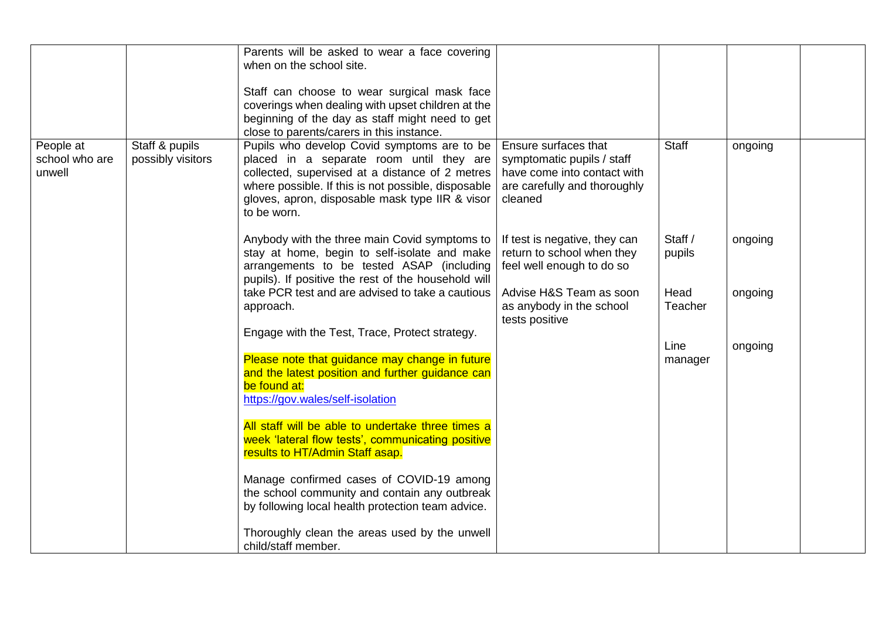|                |                   | Parents will be asked to wear a face covering       |                               |              |         |  |
|----------------|-------------------|-----------------------------------------------------|-------------------------------|--------------|---------|--|
|                |                   | when on the school site.                            |                               |              |         |  |
|                |                   |                                                     |                               |              |         |  |
|                |                   | Staff can choose to wear surgical mask face         |                               |              |         |  |
|                |                   | coverings when dealing with upset children at the   |                               |              |         |  |
|                |                   | beginning of the day as staff might need to get     |                               |              |         |  |
|                |                   |                                                     |                               |              |         |  |
|                |                   | close to parents/carers in this instance.           |                               |              |         |  |
| People at      | Staff & pupils    | Pupils who develop Covid symptoms are to be         | Ensure surfaces that          | <b>Staff</b> | ongoing |  |
| school who are | possibly visitors | placed in a separate room until they are            | symptomatic pupils / staff    |              |         |  |
| unwell         |                   | collected, supervised at a distance of 2 metres     | have come into contact with   |              |         |  |
|                |                   | where possible. If this is not possible, disposable | are carefully and thoroughly  |              |         |  |
|                |                   | gloves, apron, disposable mask type IIR & visor     | cleaned                       |              |         |  |
|                |                   | to be worn.                                         |                               |              |         |  |
|                |                   |                                                     |                               |              |         |  |
|                |                   | Anybody with the three main Covid symptoms to       | If test is negative, they can | Staff /      | ongoing |  |
|                |                   | stay at home, begin to self-isolate and make        | return to school when they    | pupils       |         |  |
|                |                   | arrangements to be tested ASAP (including           | feel well enough to do so     |              |         |  |
|                |                   | pupils). If positive the rest of the household will |                               |              |         |  |
|                |                   | take PCR test and are advised to take a cautious    | Advise H&S Team as soon       | Head         | ongoing |  |
|                |                   |                                                     |                               | Teacher      |         |  |
|                |                   | approach.                                           | as anybody in the school      |              |         |  |
|                |                   |                                                     | tests positive                |              |         |  |
|                |                   | Engage with the Test, Trace, Protect strategy.      |                               |              |         |  |
|                |                   |                                                     |                               | Line         | ongoing |  |
|                |                   | Please note that guidance may change in future      |                               | manager      |         |  |
|                |                   | and the latest position and further guidance can    |                               |              |         |  |
|                |                   | be found at:                                        |                               |              |         |  |
|                |                   | https://gov.wales/self-isolation                    |                               |              |         |  |
|                |                   |                                                     |                               |              |         |  |
|                |                   | All staff will be able to undertake three times a   |                               |              |         |  |
|                |                   | week 'lateral flow tests', communicating positive   |                               |              |         |  |
|                |                   | results to HT/Admin Staff asap.                     |                               |              |         |  |
|                |                   |                                                     |                               |              |         |  |
|                |                   | Manage confirmed cases of COVID-19 among            |                               |              |         |  |
|                |                   | the school community and contain any outbreak       |                               |              |         |  |
|                |                   | by following local health protection team advice.   |                               |              |         |  |
|                |                   |                                                     |                               |              |         |  |
|                |                   |                                                     |                               |              |         |  |
|                |                   | Thoroughly clean the areas used by the unwell       |                               |              |         |  |
|                |                   | child/staff member.                                 |                               |              |         |  |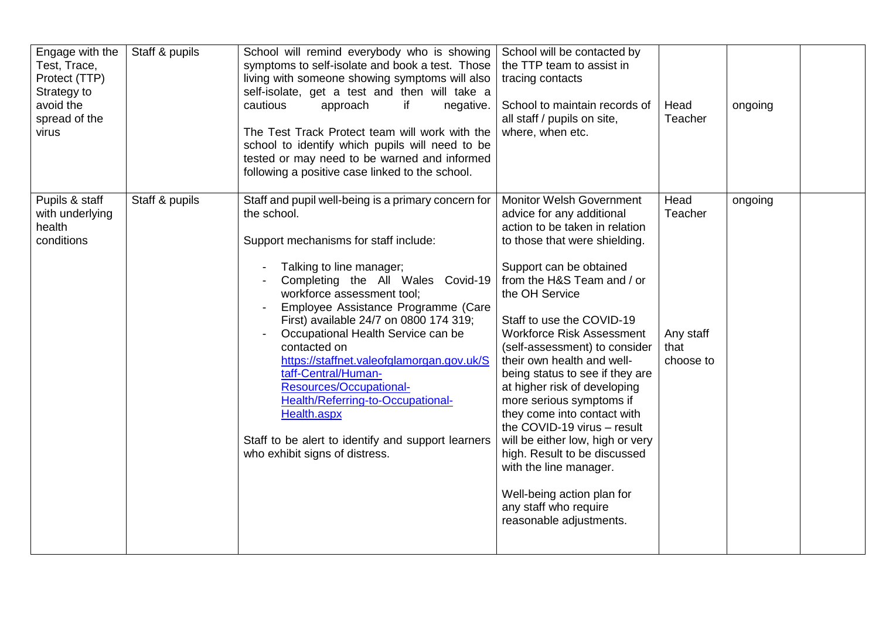| Engage with the<br>Test, Trace,<br>Protect (TTP)<br>Strategy to<br>avoid the<br>spread of the<br>virus | Staff & pupils | School will remind everybody who is showing<br>symptoms to self-isolate and book a test. Those<br>living with someone showing symptoms will also<br>self-isolate, get a test and then will take a<br>cautious<br>approach<br>if<br>negative.<br>The Test Track Protect team will work with the<br>school to identify which pupils will need to be<br>tested or may need to be warned and informed<br>following a positive case linked to the school.                                                                                                                                         | School will be contacted by<br>the TTP team to assist in<br>tracing contacts<br>School to maintain records of<br>all staff / pupils on site,<br>where, when etc.                                                                                                                                                                                                                                                                                                                                                                                                                                                                                                                 | Head<br>Teacher                                   | ongoing |  |
|--------------------------------------------------------------------------------------------------------|----------------|----------------------------------------------------------------------------------------------------------------------------------------------------------------------------------------------------------------------------------------------------------------------------------------------------------------------------------------------------------------------------------------------------------------------------------------------------------------------------------------------------------------------------------------------------------------------------------------------|----------------------------------------------------------------------------------------------------------------------------------------------------------------------------------------------------------------------------------------------------------------------------------------------------------------------------------------------------------------------------------------------------------------------------------------------------------------------------------------------------------------------------------------------------------------------------------------------------------------------------------------------------------------------------------|---------------------------------------------------|---------|--|
| Pupils & staff<br>with underlying<br>health<br>conditions                                              | Staff & pupils | Staff and pupil well-being is a primary concern for<br>the school.<br>Support mechanisms for staff include:<br>Talking to line manager;<br>Completing the All Wales Covid-19<br>workforce assessment tool;<br>Employee Assistance Programme (Care<br>First) available 24/7 on 0800 174 319;<br>Occupational Health Service can be<br>contacted on<br>https://staffnet.valeofglamorgan.gov.uk/S<br>taff-Central/Human-<br>Resources/Occupational-<br>Health/Referring-to-Occupational-<br>Health.aspx<br>Staff to be alert to identify and support learners<br>who exhibit signs of distress. | <b>Monitor Welsh Government</b><br>advice for any additional<br>action to be taken in relation<br>to those that were shielding.<br>Support can be obtained<br>from the H&S Team and / or<br>the OH Service<br>Staff to use the COVID-19<br>Workforce Risk Assessment<br>(self-assessment) to consider<br>their own health and well-<br>being status to see if they are<br>at higher risk of developing<br>more serious symptoms if<br>they come into contact with<br>the COVID-19 virus - result<br>will be either low, high or very<br>high. Result to be discussed<br>with the line manager.<br>Well-being action plan for<br>any staff who require<br>reasonable adjustments. | Head<br>Teacher<br>Any staff<br>that<br>choose to | ongoing |  |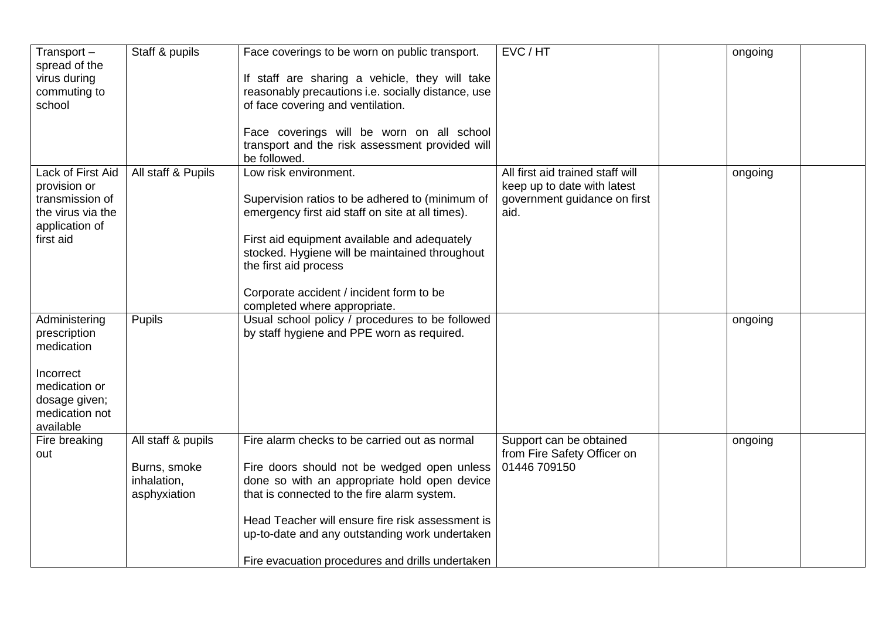| Transport $-$<br>spread of the<br>virus during<br>commuting to<br>school                                                  | Staff & pupils                                                    | Face coverings to be worn on public transport.<br>If staff are sharing a vehicle, they will take<br>reasonably precautions i.e. socially distance, use<br>of face covering and ventilation.<br>Face coverings will be worn on all school<br>transport and the risk assessment provided will<br>be followed.                                           | EVC / HT                                                                                                | ongoing |  |
|---------------------------------------------------------------------------------------------------------------------------|-------------------------------------------------------------------|-------------------------------------------------------------------------------------------------------------------------------------------------------------------------------------------------------------------------------------------------------------------------------------------------------------------------------------------------------|---------------------------------------------------------------------------------------------------------|---------|--|
| Lack of First Aid<br>provision or<br>transmission of<br>the virus via the<br>application of<br>first aid                  | All staff & Pupils                                                | Low risk environment.<br>Supervision ratios to be adhered to (minimum of<br>emergency first aid staff on site at all times).<br>First aid equipment available and adequately<br>stocked. Hygiene will be maintained throughout<br>the first aid process<br>Corporate accident / incident form to be<br>completed where appropriate.                   | All first aid trained staff will<br>keep up to date with latest<br>government guidance on first<br>aid. | ongoing |  |
| Administering<br>prescription<br>medication<br>Incorrect<br>medication or<br>dosage given;<br>medication not<br>available | Pupils                                                            | Usual school policy / procedures to be followed<br>by staff hygiene and PPE worn as required.                                                                                                                                                                                                                                                         |                                                                                                         | ongoing |  |
| Fire breaking<br>out                                                                                                      | All staff & pupils<br>Burns, smoke<br>inhalation,<br>asphyxiation | Fire alarm checks to be carried out as normal<br>Fire doors should not be wedged open unless<br>done so with an appropriate hold open device<br>that is connected to the fire alarm system.<br>Head Teacher will ensure fire risk assessment is<br>up-to-date and any outstanding work undertaken<br>Fire evacuation procedures and drills undertaken | Support can be obtained<br>from Fire Safety Officer on<br>01446 709150                                  | ongoing |  |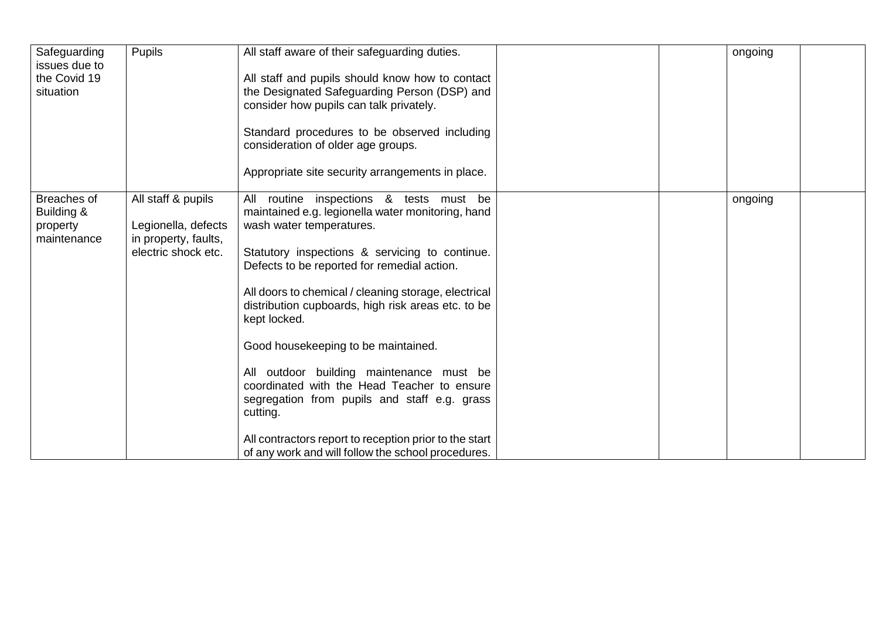| Safeguarding<br>issues due to | Pupils               | All staff aware of their safeguarding duties.                                      | ongoing |  |
|-------------------------------|----------------------|------------------------------------------------------------------------------------|---------|--|
| the Covid 19                  |                      | All staff and pupils should know how to contact                                    |         |  |
| situation                     |                      | the Designated Safeguarding Person (DSP) and                                       |         |  |
|                               |                      | consider how pupils can talk privately.                                            |         |  |
|                               |                      | Standard procedures to be observed including<br>consideration of older age groups. |         |  |
|                               |                      | Appropriate site security arrangements in place.                                   |         |  |
| Breaches of                   | All staff & pupils   | All routine inspections & tests must be                                            | ongoing |  |
| Building &<br>property        | Legionella, defects  | maintained e.g. legionella water monitoring, hand<br>wash water temperatures.      |         |  |
| maintenance                   | in property, faults, |                                                                                    |         |  |
|                               | electric shock etc.  | Statutory inspections & servicing to continue.                                     |         |  |
|                               |                      | Defects to be reported for remedial action.                                        |         |  |
|                               |                      | All doors to chemical / cleaning storage, electrical                               |         |  |
|                               |                      | distribution cupboards, high risk areas etc. to be                                 |         |  |
|                               |                      | kept locked.                                                                       |         |  |
|                               |                      | Good housekeeping to be maintained.                                                |         |  |
|                               |                      |                                                                                    |         |  |
|                               |                      | All outdoor building maintenance must be                                           |         |  |
|                               |                      | coordinated with the Head Teacher to ensure                                        |         |  |
|                               |                      | segregation from pupils and staff e.g. grass<br>cutting.                           |         |  |
|                               |                      | All contractors report to reception prior to the start                             |         |  |
|                               |                      | of any work and will follow the school procedures.                                 |         |  |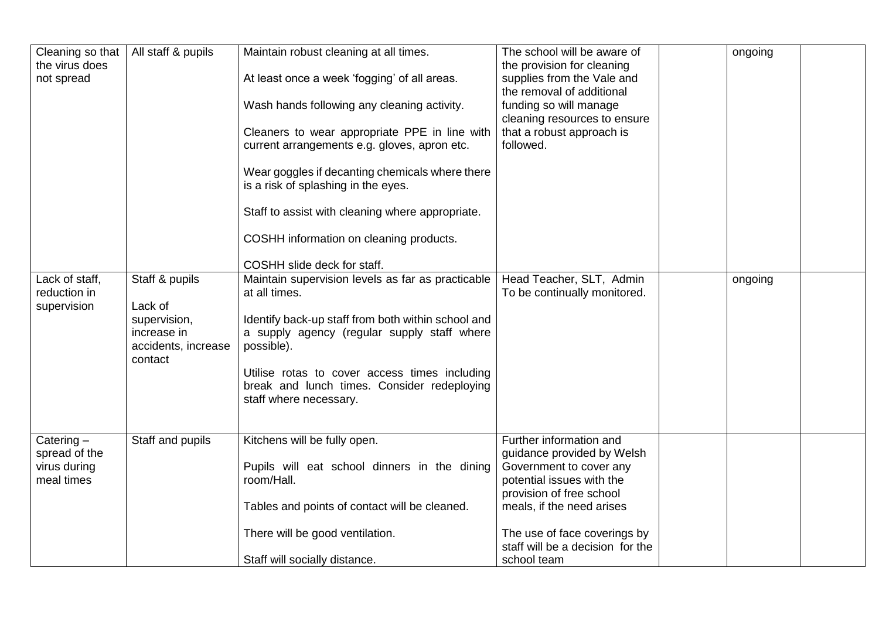| Cleaning so that<br>the virus does<br>not spread            | All staff & pupils                                                                         | Maintain robust cleaning at all times.<br>At least once a week 'fogging' of all areas.<br>Wash hands following any cleaning activity.<br>Cleaners to wear appropriate PPE in line with<br>current arrangements e.g. gloves, apron etc.<br>Wear goggles if decanting chemicals where there<br>is a risk of splashing in the eyes.<br>Staff to assist with cleaning where appropriate.<br>COSHH information on cleaning products. | The school will be aware of<br>the provision for cleaning<br>supplies from the Vale and<br>the removal of additional<br>funding so will manage<br>cleaning resources to ensure<br>that a robust approach is<br>followed.                                  | ongoing |  |
|-------------------------------------------------------------|--------------------------------------------------------------------------------------------|---------------------------------------------------------------------------------------------------------------------------------------------------------------------------------------------------------------------------------------------------------------------------------------------------------------------------------------------------------------------------------------------------------------------------------|-----------------------------------------------------------------------------------------------------------------------------------------------------------------------------------------------------------------------------------------------------------|---------|--|
| Lack of staff,<br>reduction in<br>supervision               | Staff & pupils<br>Lack of<br>supervision,<br>increase in<br>accidents, increase<br>contact | COSHH slide deck for staff.<br>Maintain supervision levels as far as practicable<br>at all times.<br>Identify back-up staff from both within school and<br>a supply agency (regular supply staff where<br>possible).<br>Utilise rotas to cover access times including<br>break and lunch times. Consider redeploying<br>staff where necessary.                                                                                  | Head Teacher, SLT, Admin<br>To be continually monitored.                                                                                                                                                                                                  | ongoing |  |
| Catering $-$<br>spread of the<br>virus during<br>meal times | Staff and pupils                                                                           | Kitchens will be fully open.<br>Pupils will eat school dinners in the dining<br>room/Hall.<br>Tables and points of contact will be cleaned.<br>There will be good ventilation.<br>Staff will socially distance.                                                                                                                                                                                                                 | Further information and<br>guidance provided by Welsh<br>Government to cover any<br>potential issues with the<br>provision of free school<br>meals, if the need arises<br>The use of face coverings by<br>staff will be a decision for the<br>school team |         |  |